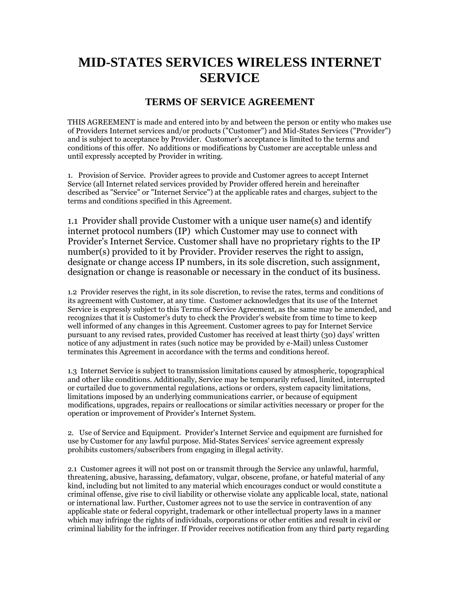## **MID-STATES SERVICES WIRELESS INTERNET SERVICE**

## **TERMS OF SERVICE AGREEMENT**

THIS AGREEMENT is made and entered into by and between the person or entity who makes use of Providers Internet services and/or products ("Customer") and Mid-States Services ("Provider") and is subject to acceptance by Provider. Customer's acceptance is limited to the terms and conditions of this offer. No additions or modifications by Customer are acceptable unless and until expressly accepted by Provider in writing.

1. Provision of Service. Provider agrees to provide and Customer agrees to accept Internet Service (all Internet related services provided by Provider offered herein and hereinafter described as "Service" or "Internet Service") at the applicable rates and charges, subject to the terms and conditions specified in this Agreement.

1.1 Provider shall provide Customer with a unique user name(s) and identify internet protocol numbers (IP) which Customer may use to connect with Provider's Internet Service. Customer shall have no proprietary rights to the IP number(s) provided to it by Provider. Provider reserves the right to assign, designate or change access IP numbers, in its sole discretion, such assignment, designation or change is reasonable or necessary in the conduct of its business.

1.2 Provider reserves the right, in its sole discretion, to revise the rates, terms and conditions of its agreement with Customer, at any time. Customer acknowledges that its use of the Internet Service is expressly subject to this Terms of Service Agreement, as the same may be amended, and recognizes that it is Customer's duty to check the Provider's website from time to time to keep well informed of any changes in this Agreement. Customer agrees to pay for Internet Service pursuant to any revised rates, provided Customer has received at least thirty (30) days' written notice of any adjustment in rates (such notice may be provided by e-Mail) unless Customer terminates this Agreement in accordance with the terms and conditions hereof.

1.3 Internet Service is subject to transmission limitations caused by atmospheric, topographical and other like conditions. Additionally, Service may be temporarily refused, limited, interrupted or curtailed due to governmental regulations, actions or orders, system capacity limitations, limitations imposed by an underlying communications carrier, or because of equipment modifications, upgrades, repairs or reallocations or similar activities necessary or proper for the operation or improvement of Provider's Internet System.

2. Use of Service and Equipment. Provider's Internet Service and equipment are furnished for use by Customer for any lawful purpose. Mid-States Services' service agreement expressly prohibits customers/subscribers from engaging in illegal activity.

2.1 Customer agrees it will not post on or transmit through the Service any unlawful, harmful, threatening, abusive, harassing, defamatory, vulgar, obscene, profane, or hateful material of any kind, including but not limited to any material which encourages conduct or would constitute a criminal offense, give rise to civil liability or otherwise violate any applicable local, state, national or international law. Further, Customer agrees not to use the service in contravention of any applicable state or federal copyright, trademark or other intellectual property laws in a manner which may infringe the rights of individuals, corporations or other entities and result in civil or criminal liability for the infringer. If Provider receives notification from any third party regarding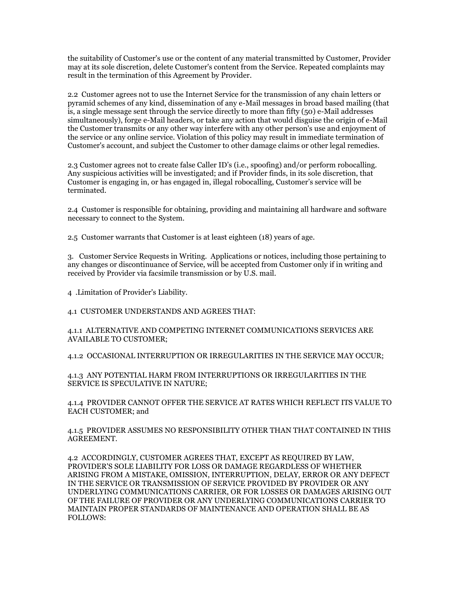the suitability of Customer's use or the content of any material transmitted by Customer, Provider may at its sole discretion, delete Customer's content from the Service. Repeated complaints may result in the termination of this Agreement by Provider.

2.2 Customer agrees not to use the Internet Service for the transmission of any chain letters or pyramid schemes of any kind, dissemination of any e-Mail messages in broad based mailing (that is, a single message sent through the service directly to more than fifty (50) e-Mail addresses simultaneously), forge e-Mail headers, or take any action that would disguise the origin of e-Mail the Customer transmits or any other way interfere with any other person's use and enjoyment of the service or any online service. Violation of this policy may result in immediate termination of Customer's account, and subject the Customer to other damage claims or other legal remedies.

2.3 Customer agrees not to create false Caller ID's (i.e., spoofing) and/or perform robocalling. Any suspicious activities will be investigated; and if Provider finds, in its sole discretion, that Customer is engaging in, or has engaged in, illegal robocalling, Customer's service will be terminated.

2.4 Customer is responsible for obtaining, providing and maintaining all hardware and software necessary to connect to the System.

2.5 Customer warrants that Customer is at least eighteen (18) years of age.

3. Customer Service Requests in Writing. Applications or notices, including those pertaining to any changes or discontinuance of Service, will be accepted from Customer only if in writing and received by Provider via facsimile transmission or by U.S. mail.

4 .Limitation of Provider's Liability.

4.1 CUSTOMER UNDERSTANDS AND AGREES THAT:

4.1.1 ALTERNATIVE AND COMPETING INTERNET COMMUNICATIONS SERVICES ARE AVAILABLE TO CUSTOMER;

4.1.2 OCCASIONAL INTERRUPTION OR IRREGULARITIES IN THE SERVICE MAY OCCUR;

4.1.3 ANY POTENTIAL HARM FROM INTERRUPTIONS OR IRREGULARITIES IN THE SERVICE IS SPECULATIVE IN NATURE;

4.1.4 PROVIDER CANNOT OFFER THE SERVICE AT RATES WHICH REFLECT ITS VALUE TO EACH CUSTOMER; and

4.1.5 PROVIDER ASSUMES NO RESPONSIBILITY OTHER THAN THAT CONTAINED IN THIS AGREEMENT.

4.2 ACCORDINGLY, CUSTOMER AGREES THAT, EXCEPT AS REQUIRED BY LAW, PROVIDER'S SOLE LIABILITY FOR LOSS OR DAMAGE REGARDLESS OF WHETHER ARISING FROM A MISTAKE, OMISSION, INTERRUPTION, DELAY, ERROR OR ANY DEFECT IN THE SERVICE OR TRANSMISSION OF SERVICE PROVIDED BY PROVIDER OR ANY UNDERLYING COMMUNICATIONS CARRIER, OR FOR LOSSES OR DAMAGES ARISING OUT OF THE FAILURE OF PROVIDER OR ANY UNDERLYING COMMUNICATIONS CARRIER TO MAINTAIN PROPER STANDARDS OF MAINTENANCE AND OPERATION SHALL BE AS FOLLOWS: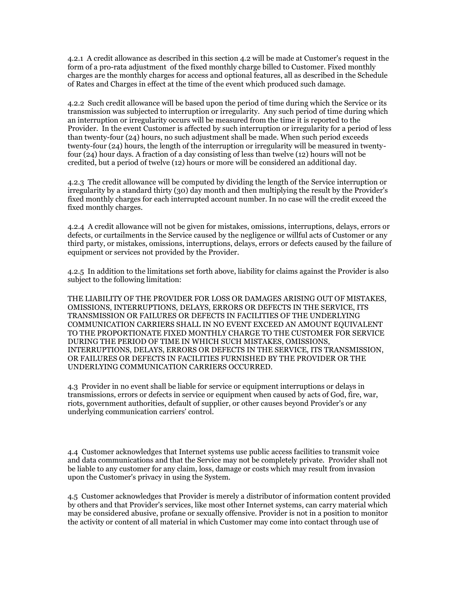4.2.1 A credit allowance as described in this section 4.2 will be made at Customer's request in the form of a pro-rata adjustment of the fixed monthly charge billed to Customer. Fixed monthly charges are the monthly charges for access and optional features, all as described in the Schedule of Rates and Charges in effect at the time of the event which produced such damage.

4.2.2 Such credit allowance will be based upon the period of time during which the Service or its transmission was subjected to interruption or irregularity. Any such period of time during which an interruption or irregularity occurs will be measured from the time it is reported to the Provider. In the event Customer is affected by such interruption or irregularity for a period of less than twenty-four (24) hours, no such adjustment shall be made. When such period exceeds twenty-four (24) hours, the length of the interruption or irregularity will be measured in twentyfour (24) hour days. A fraction of a day consisting of less than twelve (12) hours will not be credited, but a period of twelve (12) hours or more will be considered an additional day.

4.2.3 The credit allowance will be computed by dividing the length of the Service interruption or irregularity by a standard thirty (30) day month and then multiplying the result by the Provider's fixed monthly charges for each interrupted account number. In no case will the credit exceed the fixed monthly charges.

4.2.4 A credit allowance will not be given for mistakes, omissions, interruptions, delays, errors or defects, or curtailments in the Service caused by the negligence or willful acts of Customer or any third party, or mistakes, omissions, interruptions, delays, errors or defects caused by the failure of equipment or services not provided by the Provider.

4.2.5 In addition to the limitations set forth above, liability for claims against the Provider is also subject to the following limitation:

THE LIABILITY OF THE PROVIDER FOR LOSS OR DAMAGES ARISING OUT OF MISTAKES, OMISSIONS, INTERRUPTIONS, DELAYS, ERRORS OR DEFECTS IN THE SERVICE, ITS TRANSMISSION OR FAILURES OR DEFECTS IN FACILITIES OF THE UNDERLYING COMMUNICATION CARRIERS SHALL IN NO EVENT EXCEED AN AMOUNT EQUIVALENT TO THE PROPORTIONATE FIXED MONTHLY CHARGE TO THE CUSTOMER FOR SERVICE DURING THE PERIOD OF TIME IN WHICH SUCH MISTAKES, OMISSIONS, INTERRUPTIONS, DELAYS, ERRORS OR DEFECTS IN THE SERVICE, ITS TRANSMISSION, OR FAILURES OR DEFECTS IN FACILITIES FURNISHED BY THE PROVIDER OR THE UNDERLYING COMMUNICATION CARRIERS OCCURRED.

4.3 Provider in no event shall be liable for service or equipment interruptions or delays in transmissions, errors or defects in service or equipment when caused by acts of God, fire, war, riots, government authorities, default of supplier, or other causes beyond Provider's or any underlying communication carriers' control.

4.4 Customer acknowledges that Internet systems use public access facilities to transmit voice and data communications and that the Service may not be completely private. Provider shall not be liable to any customer for any claim, loss, damage or costs which may result from invasion upon the Customer's privacy in using the System.

4.5 Customer acknowledges that Provider is merely a distributor of information content provided by others and that Provider's services, like most other Internet systems, can carry material which may be considered abusive, profane or sexually offensive. Provider is not in a position to monitor the activity or content of all material in which Customer may come into contact through use of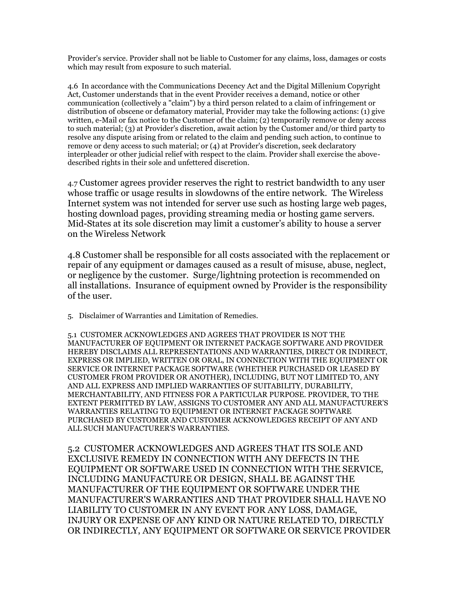Provider's service. Provider shall not be liable to Customer for any claims, loss, damages or costs which may result from exposure to such material.

4.6 In accordance with the Communications Decency Act and the Digital Millenium Copyright Act, Customer understands that in the event Provider receives a demand, notice or other communication (collectively a "claim") by a third person related to a claim of infringement or distribution of obscene or defamatory material, Provider may take the following actions: (1) give written, e-Mail or fax notice to the Customer of the claim; (2) temporarily remove or deny access to such material; (3) at Provider's discretion, await action by the Customer and/or third party to resolve any dispute arising from or related to the claim and pending such action, to continue to remove or deny access to such material; or (4) at Provider's discretion, seek declaratory interpleader or other judicial relief with respect to the claim. Provider shall exercise the abovedescribed rights in their sole and unfettered discretion.

4.7 Customer agrees provider reserves the right to restrict bandwidth to any user whose traffic or usage results in slowdowns of the entire network. The Wireless Internet system was not intended for server use such as hosting large web pages, hosting download pages, providing streaming media or hosting game servers. Mid-States at its sole discretion may limit a customer's ability to house a server on the Wireless Network

4.8 Customer shall be responsible for all costs associated with the replacement or repair of any equipment or damages caused as a result of misuse, abuse, neglect, or negligence by the customer. Surge/lightning protection is recommended on all installations. Insurance of equipment owned by Provider is the responsibility of the user.

5. Disclaimer of Warranties and Limitation of Remedies.

5.1 CUSTOMER ACKNOWLEDGES AND AGREES THAT PROVIDER IS NOT THE MANUFACTURER OF EQUIPMENT OR INTERNET PACKAGE SOFTWARE AND PROVIDER HEREBY DISCLAIMS ALL REPRESENTATIONS AND WARRANTIES, DIRECT OR INDIRECT, EXPRESS OR IMPLIED, WRITTEN OR ORAL, IN CONNECTION WITH THE EQUIPMENT OR SERVICE OR INTERNET PACKAGE SOFTWARE (WHETHER PURCHASED OR LEASED BY CUSTOMER FROM PROVIDER OR ANOTHER), INCLUDING, BUT NOT LIMITED TO, ANY AND ALL EXPRESS AND IMPLIED WARRANTIES OF SUITABILITY, DURABILITY, MERCHANTABILITY, AND FITNESS FOR A PARTICULAR PURPOSE. PROVIDER, TO THE EXTENT PERMITTED BY LAW, ASSIGNS TO CUSTOMER ANY AND ALL MANUFACTURER'S WARRANTIES RELATING TO EQUIPMENT OR INTERNET PACKAGE SOFTWARE PURCHASED BY CUSTOMER AND CUSTOMER ACKNOWLEDGES RECEIPT OF ANY AND ALL SUCH MANUFACTURER'S WARRANTIES.

5.2 CUSTOMER ACKNOWLEDGES AND AGREES THAT ITS SOLE AND EXCLUSIVE REMEDY IN CONNECTION WITH ANY DEFECTS IN THE EQUIPMENT OR SOFTWARE USED IN CONNECTION WITH THE SERVICE, INCLUDING MANUFACTURE OR DESIGN, SHALL BE AGAINST THE MANUFACTURER OF THE EQUIPMENT OR SOFTWARE UNDER THE MANUFACTURER'S WARRANTIES AND THAT PROVIDER SHALL HAVE NO LIABILITY TO CUSTOMER IN ANY EVENT FOR ANY LOSS, DAMAGE, INJURY OR EXPENSE OF ANY KIND OR NATURE RELATED TO, DIRECTLY OR INDIRECTLY, ANY EQUIPMENT OR SOFTWARE OR SERVICE PROVIDER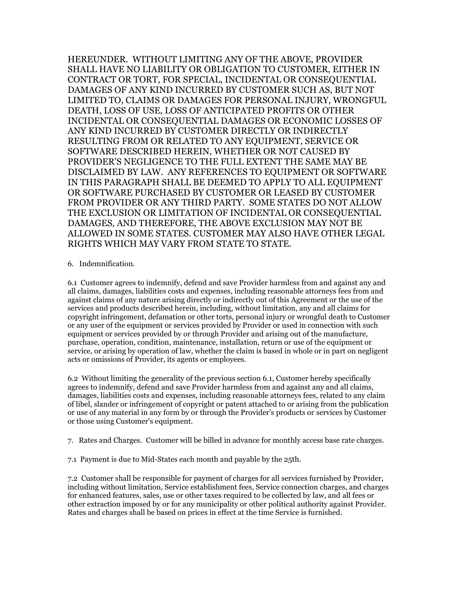HEREUNDER. WITHOUT LIMITING ANY OF THE ABOVE, PROVIDER SHALL HAVE NO LIABILITY OR OBLIGATION TO CUSTOMER, EITHER IN CONTRACT OR TORT, FOR SPECIAL, INCIDENTAL OR CONSEQUENTIAL DAMAGES OF ANY KIND INCURRED BY CUSTOMER SUCH AS, BUT NOT LIMITED TO, CLAIMS OR DAMAGES FOR PERSONAL INJURY, WRONGFUL DEATH, LOSS OF USE, LOSS OF ANTICIPATED PROFITS OR OTHER INCIDENTAL OR CONSEQUENTIAL DAMAGES OR ECONOMIC LOSSES OF ANY KIND INCURRED BY CUSTOMER DIRECTLY OR INDIRECTLY RESULTING FROM OR RELATED TO ANY EQUIPMENT, SERVICE OR SOFTWARE DESCRIBED HEREIN, WHETHER OR NOT CAUSED BY PROVIDER'S NEGLIGENCE TO THE FULL EXTENT THE SAME MAY BE DISCLAIMED BY LAW. ANY REFERENCES TO EQUIPMENT OR SOFTWARE IN THIS PARAGRAPH SHALL BE DEEMED TO APPLY TO ALL EQUIPMENT OR SOFTWARE PURCHASED BY CUSTOMER OR LEASED BY CUSTOMER FROM PROVIDER OR ANY THIRD PARTY. SOME STATES DO NOT ALLOW THE EXCLUSION OR LIMITATION OF INCIDENTAL OR CONSEQUENTIAL DAMAGES, AND THEREFORE, THE ABOVE EXCLUSION MAY NOT BE ALLOWED IN SOME STATES. CUSTOMER MAY ALSO HAVE OTHER LEGAL RIGHTS WHICH MAY VARY FROM STATE TO STATE.

6. Indemnification.

6.1 Customer agrees to indemnify, defend and save Provider harmless from and against any and all claims, damages, liabilities costs and expenses, including reasonable attorneys fees from and against claims of any nature arising directly or indirectly out of this Agreement or the use of the services and products described herein, including, without limitation, any and all claims for copyright infringement, defamation or other torts, personal injury or wrongful death to Customer or any user of the equipment or services provided by Provider or used in connection with such equipment or services provided by or through Provider and arising out of the manufacture, purchase, operation, condition, maintenance, installation, return or use of the equipment or service, or arising by operation of law, whether the claim is based in whole or in part on negligent acts or omissions of Provider, its agents or employees.

6.2 Without limiting the generality of the previous section 6.1, Customer hereby specifically agrees to indemnify, defend and save Provider harmless from and against any and all claims, damages, liabilities costs and expenses, including reasonable attorneys fees, related to any claim of libel, slander or infringement of copyright or patent attached to or arising from the publication or use of any material in any form by or through the Provider's products or services by Customer or those using Customer's equipment.

7. Rates and Charges. Customer will be billed in advance for monthly access base rate charges.

7.1 Payment is due to Mid-States each month and payable by the 25th.

7.2 Customer shall be responsible for payment of charges for all services furnished by Provider, including without limitation, Service establishment fees, Service connection charges, and charges for enhanced features, sales, use or other taxes required to be collected by law, and all fees or other extraction imposed by or for any municipality or other political authority against Provider. Rates and charges shall be based on prices in effect at the time Service is furnished.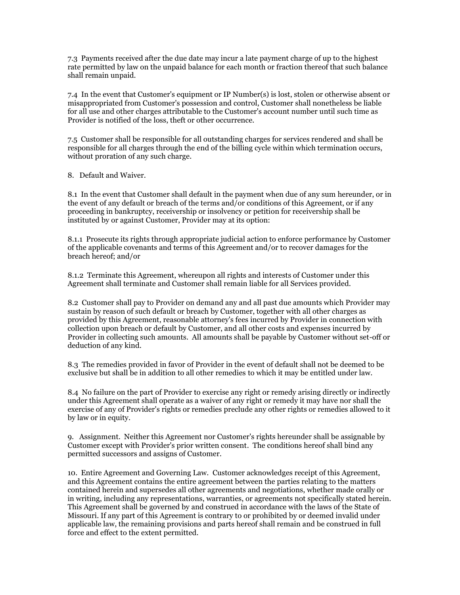7.3 Payments received after the due date may incur a late payment charge of up to the highest rate permitted by law on the unpaid balance for each month or fraction thereof that such balance shall remain unpaid.

7.4 In the event that Customer's equipment or IP Number(s) is lost, stolen or otherwise absent or misappropriated from Customer's possession and control, Customer shall nonetheless be liable for all use and other charges attributable to the Customer's account number until such time as Provider is notified of the loss, theft or other occurrence.

7.5 Customer shall be responsible for all outstanding charges for services rendered and shall be responsible for all charges through the end of the billing cycle within which termination occurs, without proration of any such charge.

8. Default and Waiver.

8.1 In the event that Customer shall default in the payment when due of any sum hereunder, or in the event of any default or breach of the terms and/or conditions of this Agreement, or if any proceeding in bankruptcy, receivership or insolvency or petition for receivership shall be instituted by or against Customer, Provider may at its option:

8.1.1 Prosecute its rights through appropriate judicial action to enforce performance by Customer of the applicable covenants and terms of this Agreement and/or to recover damages for the breach hereof; and/or

8.1.2 Terminate this Agreement, whereupon all rights and interests of Customer under this Agreement shall terminate and Customer shall remain liable for all Services provided.

8.2 Customer shall pay to Provider on demand any and all past due amounts which Provider may sustain by reason of such default or breach by Customer, together with all other charges as provided by this Agreement, reasonable attorney's fees incurred by Provider in connection with collection upon breach or default by Customer, and all other costs and expenses incurred by Provider in collecting such amounts. All amounts shall be payable by Customer without set-off or deduction of any kind.

8.3 The remedies provided in favor of Provider in the event of default shall not be deemed to be exclusive but shall be in addition to all other remedies to which it may be entitled under law.

8.4 No failure on the part of Provider to exercise any right or remedy arising directly or indirectly under this Agreement shall operate as a waiver of any right or remedy it may have nor shall the exercise of any of Provider's rights or remedies preclude any other rights or remedies allowed to it by law or in equity.

9. Assignment. Neither this Agreement nor Customer's rights hereunder shall be assignable by Customer except with Provider's prior written consent. The conditions hereof shall bind any permitted successors and assigns of Customer.

10. Entire Agreement and Governing Law. Customer acknowledges receipt of this Agreement, and this Agreement contains the entire agreement between the parties relating to the matters contained herein and supersedes all other agreements and negotiations, whether made orally or in writing, including any representations, warranties, or agreements not specifically stated herein. This Agreement shall be governed by and construed in accordance with the laws of the State of Missouri. If any part of this Agreement is contrary to or prohibited by or deemed invalid under applicable law, the remaining provisions and parts hereof shall remain and be construed in full force and effect to the extent permitted.